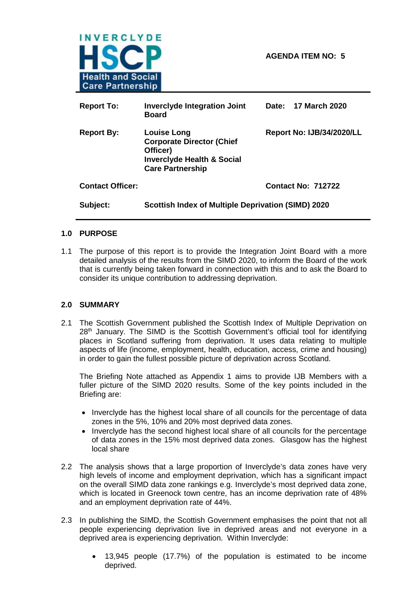

| <b>Report To:</b>       | <b>Inverclyde Integration Joint</b><br><b>Board</b>                                                                                    | Date: 17 March 2020       |  |  |
|-------------------------|----------------------------------------------------------------------------------------------------------------------------------------|---------------------------|--|--|
| <b>Report By:</b>       | <b>Louise Long</b><br><b>Corporate Director (Chief</b><br>Officer)<br><b>Inverclyde Health &amp; Social</b><br><b>Care Partnership</b> | Report No: IJB/34/2020/LL |  |  |
| <b>Contact Officer:</b> |                                                                                                                                        | <b>Contact No: 712722</b> |  |  |
| Subject:                | <b>Scottish Index of Multiple Deprivation (SIMD) 2020</b>                                                                              |                           |  |  |

#### **1.0 PURPOSE**

1.1 The purpose of this report is to provide the Integration Joint Board with a more detailed analysis of the results from the SIMD 2020, to inform the Board of the work that is currently being taken forward in connection with this and to ask the Board to consider its unique contribution to addressing deprivation.

#### **2.0 SUMMARY**

2.1 The Scottish Government published the Scottish Index of Multiple Deprivation on 28<sup>th</sup> January. The SIMD is the Scottish Government's official tool for identifying places in Scotland suffering from deprivation. It uses data relating to multiple aspects of life (income, employment, health, education, access, crime and housing) in order to gain the fullest possible picture of deprivation across Scotland.

The Briefing Note attached as Appendix 1 aims to provide IJB Members with a fuller picture of the SIMD 2020 results. Some of the key points included in the Briefing are:

- Inverclyde has the highest local share of all councils for the percentage of data zones in the 5%, 10% and 20% most deprived data zones.
- Inverclyde has the second highest local share of all councils for the percentage of data zones in the 15% most deprived data zones. Glasgow has the highest local share
- 2.2 The analysis shows that a large proportion of Inverclyde's data zones have very high levels of income and employment deprivation, which has a significant impact on the overall SIMD data zone rankings e.g. Inverclyde's most deprived data zone, which is located in Greenock town centre, has an income deprivation rate of 48% and an employment deprivation rate of 44%.
- 2.3 In publishing the SIMD, the Scottish Government emphasises the point that not all people experiencing deprivation live in deprived areas and not everyone in a deprived area is experiencing deprivation. Within Inverclyde:
	- 13,945 people (17.7%) of the population is estimated to be income deprived.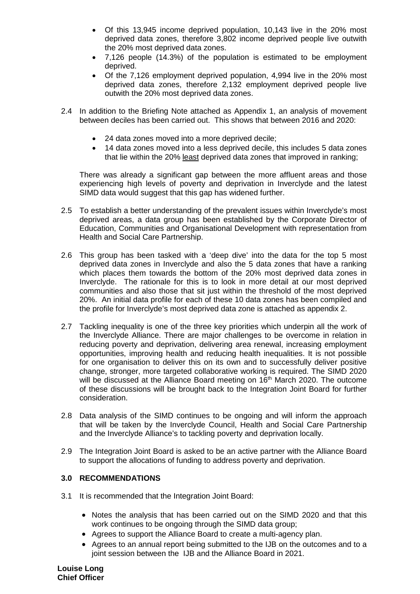- Of this 13,945 income deprived population, 10,143 live in the 20% most deprived data zones, therefore 3,802 income deprived people live outwith the 20% most deprived data zones.
- 7,126 people (14.3%) of the population is estimated to be employment deprived.
- Of the 7,126 employment deprived population, 4,994 live in the 20% most deprived data zones, therefore 2,132 employment deprived people live outwith the 20% most deprived data zones.
- 2.4 In addition to the Briefing Note attached as Appendix 1, an analysis of movement between deciles has been carried out. This shows that between 2016 and 2020:
	- 24 data zones moved into a more deprived decile;
	- 14 data zones moved into a less deprived decile, this includes 5 data zones that lie within the 20% least deprived data zones that improved in ranking;

There was already a significant gap between the more affluent areas and those experiencing high levels of poverty and deprivation in Inverclyde and the latest SIMD data would suggest that this gap has widened further.

- 2.5 To establish a better understanding of the prevalent issues within Inverclyde's most deprived areas, a data group has been established by the Corporate Director of Education, Communities and Organisational Development with representation from Health and Social Care Partnership.
- 2.6 This group has been tasked with a 'deep dive' into the data for the top 5 most deprived data zones in Inverclyde and also the 5 data zones that have a ranking which places them towards the bottom of the 20% most deprived data zones in Inverclyde. The rationale for this is to look in more detail at our most deprived communities and also those that sit just within the threshold of the most deprived 20%. An initial data profile for each of these 10 data zones has been compiled and the profile for Inverclyde's most deprived data zone is attached as appendix 2.
- 2.7 Tackling inequality is one of the three key priorities which underpin all the work of the Inverclyde Alliance. There are major challenges to be overcome in relation in reducing poverty and deprivation, delivering area renewal, increasing employment opportunities, improving health and reducing health inequalities. It is not possible for one organisation to deliver this on its own and to successfully deliver positive change, stronger, more targeted collaborative working is required. The SIMD 2020 will be discussed at the Alliance Board meeting on 16<sup>th</sup> March 2020. The outcome of these discussions will be brought back to the Integration Joint Board for further consideration.
- 2.8 Data analysis of the SIMD continues to be ongoing and will inform the approach that will be taken by the Inverclyde Council, Health and Social Care Partnership and the Inverclyde Alliance's to tackling poverty and deprivation locally.
- 2.9 The Integration Joint Board is asked to be an active partner with the Alliance Board to support the allocations of funding to address poverty and deprivation.

### **3.0 RECOMMENDATIONS**

- 3.1 It is recommended that the Integration Joint Board:
	- Notes the analysis that has been carried out on the SIMD 2020 and that this work continues to be ongoing through the SIMD data group;
	- Agrees to support the Alliance Board to create a multi-agency plan.
	- Agrees to an annual report being submitted to the IJB on the outcomes and to a joint session between the IJB and the Alliance Board in 2021.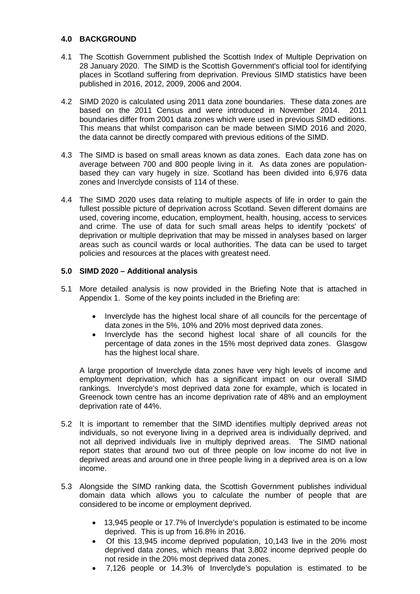#### **4.0 BACKGROUND**

- 4.1 The Scottish Government published the Scottish Index of Multiple Deprivation on 28 January 2020. The SIMD is the Scottish Government's official tool for identifying places in Scotland suffering from deprivation. Previous SIMD statistics have been published in 2016, 2012, 2009, 2006 and 2004.
- 4.2 SIMD 2020 is calculated using 2011 data zone boundaries. These data zones are based on the 2011 Census and were introduced in November 2014. 2011 boundaries differ from 2001 data zones which were used in previous SIMD editions. This means that whilst comparison can be made between SIMD 2016 and 2020, the data cannot be directly compared with previous editions of the SIMD.
- 4.3 The SIMD is based on small areas known as data zones. Each data zone has on average between 700 and 800 people living in it. As data zones are populationbased they can vary hugely in size. Scotland has been divided into 6,976 data zones and Inverclyde consists of 114 of these.
- 4.4 The SIMD 2020 uses data relating to multiple aspects of life in order to gain the fullest possible picture of deprivation across Scotland. Seven different domains are used, covering income, education, employment, health, housing, access to services and crime. The use of data for such small areas helps to identify 'pockets' of deprivation or multiple deprivation that may be missed in analyses based on larger areas such as council wards or local authorities. The data can be used to target policies and resources at the places with greatest need.

#### **5.0 SIMD 2020 – Additional analysis**

- 5.1 More detailed analysis is now provided in the Briefing Note that is attached in Appendix 1. Some of the key points included in the Briefing are:
	- Inverclyde has the highest local share of all councils for the percentage of data zones in the 5%, 10% and 20% most deprived data zones.
	- Inverclyde has the second highest local share of all councils for the percentage of data zones in the 15% most deprived data zones. Glasgow has the highest local share.

A large proportion of Inverclyde data zones have very high levels of income and employment deprivation, which has a significant impact on our overall SIMD rankings. Inverclyde's most deprived data zone for example, which is located in Greenock town centre has an income deprivation rate of 48% and an employment deprivation rate of 44%.

- 5.2 It is important to remember that the SIMD identifies multiply deprived *areas* not individuals, so not everyone living in a deprived area is individually deprived, and not all deprived individuals live in multiply deprived areas. The SIMD national report states that around two out of three people on low income do not live in deprived areas and around one in three people living in a deprived area is on a low income.
- 5.3 Alongside the SIMD ranking data, the Scottish Government publishes individual domain data which allows you to calculate the number of people that are considered to be income or employment deprived.
	- 13,945 people or 17.7% of Inverclyde's population is estimated to be income deprived. This is up from 16.8% in 2016.
	- Of this 13,945 income deprived population, 10,143 live in the 20% most deprived data zones, which means that 3,802 income deprived people do not reside in the 20% most deprived data zones.
	- 7,126 people or 14.3% of Inverclyde's population is estimated to be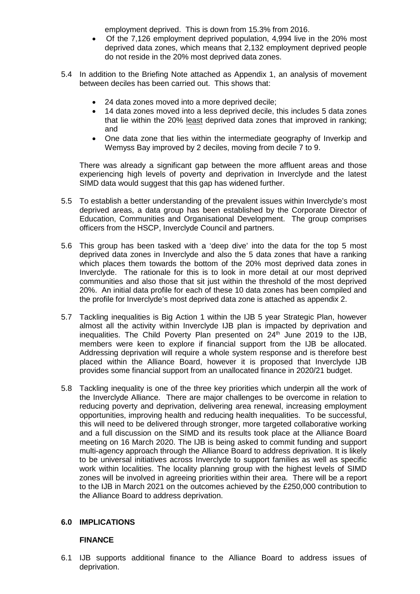employment deprived. This is down from 15.3% from 2016.

- Of the 7,126 employment deprived population, 4,994 live in the 20% most deprived data zones, which means that 2,132 employment deprived people do not reside in the 20% most deprived data zones.
- 5.4 In addition to the Briefing Note attached as Appendix 1, an analysis of movement between deciles has been carried out. This shows that:
	- 24 data zones moved into a more deprived decile;
	- 14 data zones moved into a less deprived decile, this includes 5 data zones that lie within the 20% least deprived data zones that improved in ranking; and
	- One data zone that lies within the intermediate geography of Inverkip and Wemyss Bay improved by 2 deciles, moving from decile 7 to 9.

There was already a significant gap between the more affluent areas and those experiencing high levels of poverty and deprivation in Inverclyde and the latest SIMD data would suggest that this gap has widened further.

- 5.5 To establish a better understanding of the prevalent issues within Inverclyde's most deprived areas, a data group has been established by the Corporate Director of Education, Communities and Organisational Development. The group comprises officers from the HSCP, Inverclyde Council and partners.
- 5.6 This group has been tasked with a 'deep dive' into the data for the top 5 most deprived data zones in Inverclyde and also the 5 data zones that have a ranking which places them towards the bottom of the 20% most deprived data zones in Inverclyde. The rationale for this is to look in more detail at our most deprived communities and also those that sit just within the threshold of the most deprived 20%. An initial data profile for each of these 10 data zones has been compiled and the profile for Inverclyde's most deprived data zone is attached as appendix 2.
- 5.7 Tackling inequalities is Big Action 1 within the IJB 5 year Strategic Plan, however almost all the activity within Inverclyde IJB plan is impacted by deprivation and inequalities. The Child Poverty Plan presented on 24<sup>th</sup> June 2019 to the IJB, members were keen to explore if financial support from the IJB be allocated. Addressing deprivation will require a whole system response and is therefore best placed within the Alliance Board, however it is proposed that Inverclyde IJB provides some financial support from an unallocated finance in 2020/21 budget.
- 5.8 Tackling inequality is one of the three key priorities which underpin all the work of the Inverclyde Alliance. There are major challenges to be overcome in relation to reducing poverty and deprivation, delivering area renewal, increasing employment opportunities, improving health and reducing health inequalities. To be successful, this will need to be delivered through stronger, more targeted collaborative working and a full discussion on the SIMD and its results took place at the Alliance Board meeting on 16 March 2020. The IJB is being asked to commit funding and support multi-agency approach through the Alliance Board to address deprivation. It is likely to be universal initiatives across Inverclyde to support families as well as specific work within localities. The locality planning group with the highest levels of SIMD zones will be involved in agreeing priorities within their area. There will be a report to the IJB in March 2021 on the outcomes achieved by the £250,000 contribution to the Alliance Board to address deprivation.

### **6.0 IMPLICATIONS**

#### **FINANCE**

6.1 IJB supports additional finance to the Alliance Board to address issues of deprivation.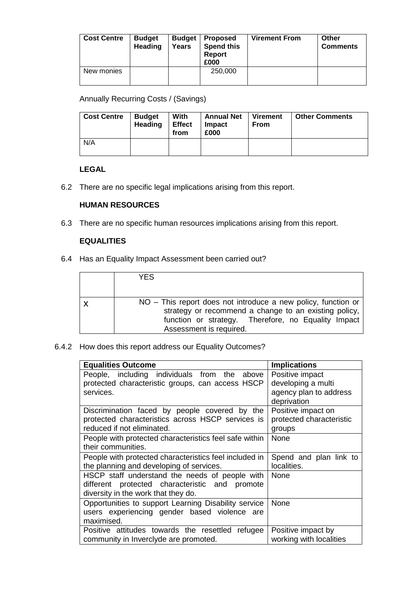| <b>Cost Centre</b> | <b>Budget</b><br><b>Heading</b> | <b>Budget</b><br>Years | <b>Proposed</b><br><b>Spend this</b><br>Report<br>£000 | <b>Virement From</b> | Other<br><b>Comments</b> |
|--------------------|---------------------------------|------------------------|--------------------------------------------------------|----------------------|--------------------------|
| New monies         |                                 |                        | 250,000                                                |                      |                          |

Annually Recurring Costs / (Savings)

| <b>Cost Centre</b> | Budget<br>Heading | With<br><b>Effect</b><br>from | <b>Annual Net</b><br>Impact<br>£000 | <b>Virement</b><br><b>From</b> | <b>Other Comments</b> |
|--------------------|-------------------|-------------------------------|-------------------------------------|--------------------------------|-----------------------|
| N/A                |                   |                               |                                     |                                |                       |

#### **LEGAL**

6.2 There are no specific legal implications arising from this report.

#### **HUMAN RESOURCES**

6.3 There are no specific human resources implications arising from this report.

#### **EQUALITIES**

6.4 Has an Equality Impact Assessment been carried out?

| YFS                                                           |
|---------------------------------------------------------------|
| NO – This report does not introduce a new policy, function or |
| strategy or recommend a change to an existing policy,         |
| function or strategy. Therefore, no Equality Impact           |
| Assessment is required.                                       |

#### 6.4.2 How does this report address our Equality Outcomes?

| <b>Equalities Outcome</b>                              | <b>Implications</b>      |
|--------------------------------------------------------|--------------------------|
| People, including individuals from the above           | Positive impact          |
| protected characteristic groups, can access HSCP       | developing a multi       |
| services.                                              | agency plan to address   |
|                                                        | deprivation              |
| Discrimination faced by people covered by the          | Positive impact on       |
| protected characteristics across HSCP services is      | protected characteristic |
| reduced if not eliminated.                             | groups                   |
| People with protected characteristics feel safe within | None                     |
| their communities.                                     |                          |
| People with protected characteristics feel included in | Spend and plan link to   |
| the planning and developing of services.               | localities.              |
| HSCP staff understand the needs of people with         | None                     |
| different protected characteristic and promote         |                          |
| diversity in the work that they do.                    |                          |
| Opportunities to support Learning Disability service   | None                     |
| users experiencing gender based violence are           |                          |
| maximised.                                             |                          |
| Positive attitudes towards the resettled refugee       | Positive impact by       |
| community in Inverclyde are promoted.                  | working with localities  |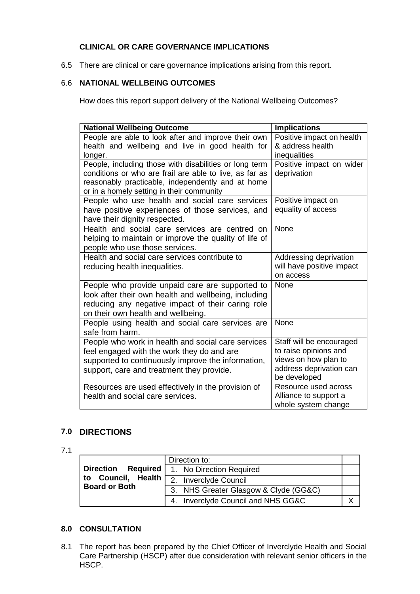### **CLINICAL OR CARE GOVERNANCE IMPLICATIONS**

6.5 There are clinical or care governance implications arising from this report.

### 6.6 **NATIONAL WELLBEING OUTCOMES**

How does this report support delivery of the National Wellbeing Outcomes?

| <b>National Wellbeing Outcome</b>                                                           | <b>Implications</b>                           |
|---------------------------------------------------------------------------------------------|-----------------------------------------------|
| People are able to look after and improve their own                                         | Positive impact on health                     |
| health and wellbeing and live in good health for                                            | & address health                              |
| longer.                                                                                     | inequalities                                  |
| People, including those with disabilities or long term                                      | Positive impact on wider                      |
| conditions or who are frail are able to live, as far as                                     | deprivation                                   |
| reasonably practicable, independently and at home                                           |                                               |
| or in a homely setting in their community<br>People who use health and social care services | Positive impact on                            |
| have positive experiences of those services, and                                            | equality of access                            |
| have their dignity respected.                                                               |                                               |
| Health and social care services are centred on                                              | None                                          |
| helping to maintain or improve the quality of life of                                       |                                               |
| people who use those services.                                                              |                                               |
| Health and social care services contribute to                                               | Addressing deprivation                        |
| reducing health inequalities.                                                               | will have positive impact                     |
|                                                                                             | on access                                     |
| People who provide unpaid care are supported to                                             | None                                          |
| look after their own health and wellbeing, including                                        |                                               |
| reducing any negative impact of their caring role                                           |                                               |
| on their own health and wellbeing.                                                          |                                               |
| People using health and social care services are                                            | None                                          |
| safe from harm.                                                                             |                                               |
| People who work in health and social care services                                          | Staff will be encouraged                      |
| feel engaged with the work they do and are                                                  | to raise opinions and                         |
| supported to continuously improve the information,                                          | views on how plan to                          |
| support, care and treatment they provide.                                                   | address deprivation can                       |
|                                                                                             | be developed                                  |
| Resources are used effectively in the provision of                                          | Resource used across<br>Alliance to support a |
| health and social care services.                                                            | whole system change                           |

### **7.0 DIRECTIONS**

<sup>7.1</sup>

|                                            | Direction to:                              |  |
|--------------------------------------------|--------------------------------------------|--|
| <b>Direction</b>                           | <b>Required</b>   1. No Direction Required |  |
| to Council, Health<br><b>Board or Both</b> | 2. Inverclyde Council                      |  |
|                                            | 3. NHS Greater Glasgow & Clyde (GG&C)      |  |
|                                            | 4. Inverclyde Council and NHS GG&C         |  |

### **8.0 CONSULTATION**

8.1 The report has been prepared by the Chief Officer of Inverclyde Health and Social Care Partnership (HSCP) after due consideration with relevant senior officers in the HSCP.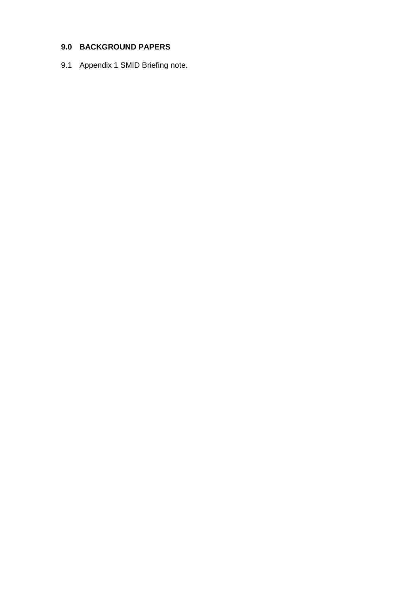## **9.0 BACKGROUND PAPERS**

9.1 Appendix 1 SMID Briefing note.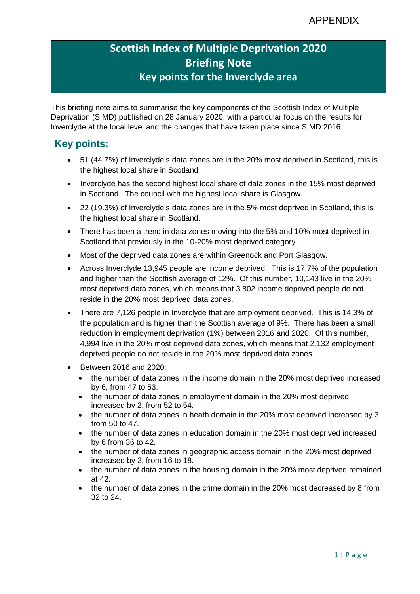# **Scottish Index of Multiple Deprivation 2020 Briefing Note Key points for the Inverclyde area**

This briefing note aims to summarise the key components of the Scottish Index of Multiple Deprivation (SIMD) published on 28 January 2020, with a particular focus on the results for Inverclyde at the local level and the changes that have taken place since SIMD 2016.

### **Key points:**

- 51 (44.7%) of Inverclyde's data zones are in the 20% most deprived in Scotland, this is the highest local share in Scotland
- Inverclyde has the second highest local share of data zones in the 15% most deprived in Scotland. The council with the highest local share is Glasgow.
- 22 (19.3%) of Inverclyde's data zones are in the 5% most deprived in Scotland, this is the highest local share in Scotland.
- There has been a trend in data zones moving into the 5% and 10% most deprived in Scotland that previously in the 10-20% most deprived category.
- Most of the deprived data zones are within Greenock and Port Glasgow.
- Across Inverclyde 13,945 people are income deprived. This is 17.7% of the population and higher than the Scottish average of 12%. Of this number, 10,143 live in the 20% most deprived data zones, which means that 3,802 income deprived people do not reside in the 20% most deprived data zones.
- There are 7,126 people in Inverclyde that are employment deprived. This is 14.3% of the population and is higher than the Scottish average of 9%. There has been a small reduction in employment deprivation (1%) between 2016 and 2020. Of this number, 4,994 live in the 20% most deprived data zones, which means that 2,132 employment deprived people do not reside in the 20% most deprived data zones.
- Between 2016 and 2020
	- the number of data zones in the income domain in the 20% most deprived increased by 6, from 47 to 53.
	- the number of data zones in employment domain in the 20% most deprived increased by 2, from 52 to 54.
	- the number of data zones in heath domain in the 20% most deprived increased by 3, from 50 to 47.
	- the number of data zones in education domain in the 20% most deprived increased by 6 from 36 to 42.
	- the number of data zones in geographic access domain in the 20% most deprived increased by 2, from 16 to 18.
	- the number of data zones in the housing domain in the 20% most deprived remained at 42.
	- the number of data zones in the crime domain in the 20% most decreased by 8 from 32 to 24.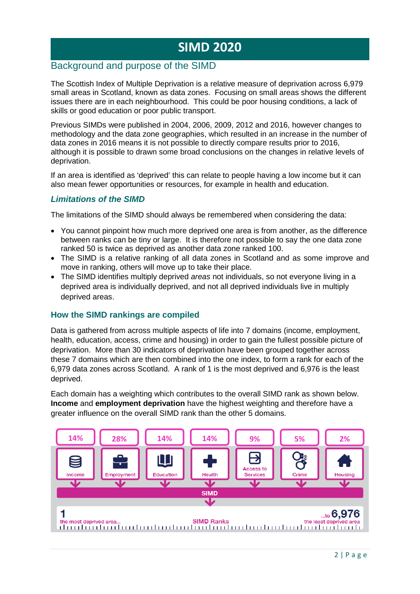# **SIMD 2020**

### Background and purpose of the SIMD

The Scottish Index of Multiple Deprivation is a relative measure of deprivation across 6,979 small areas in Scotland, known as data zones. Focusing on small areas shows the different issues there are in each neighbourhood. This could be poor housing conditions, a lack of skills or good education or poor public transport.

Previous SIMDs were published in 2004, 2006, 2009, 2012 and 2016, however changes to methodology and the data zone geographies, which resulted in an increase in the number of data zones in 2016 means it is not possible to directly compare results prior to 2016, although it is possible to drawn some broad conclusions on the changes in relative levels of deprivation.

If an area is identified as 'deprived' this can relate to people having a low income but it can also mean fewer opportunities or resources, for example in health and education.

#### *Limitations of the SIMD*

The limitations of the SIMD should always be remembered when considering the data:

- You cannot pinpoint how much more deprived one area is from another, as the difference between ranks can be tiny or large. It is therefore not possible to say the one data zone ranked 50 is twice as deprived as another data zone ranked 100.
- The SIMD is a relative ranking of all data zones in Scotland and as some improve and move in ranking, others will move up to take their place.
- The SIMD identifies multiply deprived *areas* not individuals, so not everyone living in a deprived area is individually deprived, and not all deprived individuals live in multiply deprived areas.

#### **How the SIMD rankings are compiled**

Data is gathered from across multiple aspects of life into 7 domains (income, employment, health, education, access, crime and housing) in order to gain the fullest possible picture of deprivation. More than 30 indicators of deprivation have been grouped together across these 7 domains which are then combined into the one index, to form a rank for each of the 6,979 data zones across Scotland. A rank of 1 is the most deprived and 6,976 is the least deprived.

Each domain has a weighting which contributes to the overall SIMD rank as shown below. **Income** and **employment deprivation** have the highest weighting and therefore have a greater influence on the overall SIMD rank than the other 5 domains.

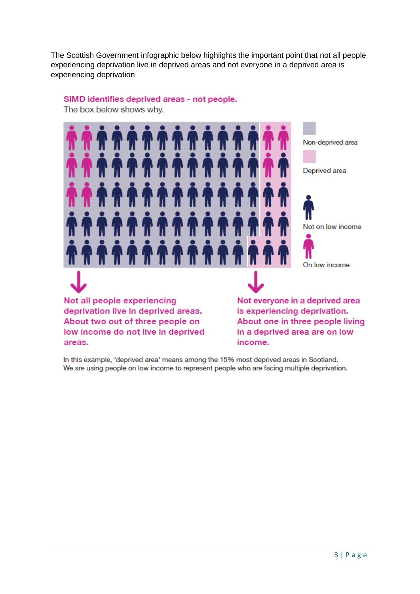The Scottish Government infographic below highlights the important point that not all people experiencing deprivation live in deprived areas and not everyone in a deprived area is experiencing deprivation

SIMD identifies deprived areas - not people.

The box below shows why.



In this example, 'deprived area' means among the 15% most deprived areas in Scotland. We are using people on low income to represent people who are facing multiple deprivation.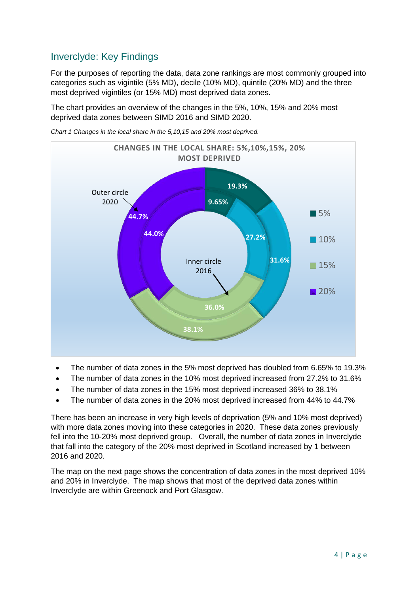# Inverclyde: Key Findings

For the purposes of reporting the data, data zone rankings are most commonly grouped into categories such as vigintile (5% MD), decile (10% MD), quintile (20% MD) and the three most deprived vigintiles (or 15% MD) most deprived data zones.

The chart provides an overview of the changes in the 5%, 10%, 15% and 20% most deprived data zones between SIMD 2016 and SIMD 2020.



*Chart 1 Changes in the local share in the 5,10,15 and 20% most deprived.* 

- The number of data zones in the 5% most deprived has doubled from 6.65% to 19.3%
- The number of data zones in the 10% most deprived increased from 27.2% to 31.6%
- The number of data zones in the 15% most deprived increased 36% to 38.1%
- The number of data zones in the 20% most deprived increased from 44% to 44.7%

There has been an increase in very high levels of deprivation (5% and 10% most deprived) with more data zones moving into these categories in 2020. These data zones previously fell into the 10-20% most deprived group. Overall, the number of data zones in Inverclyde that fall into the category of the 20% most deprived in Scotland increased by 1 between 2016 and 2020.

The map on the next page shows the concentration of data zones in the most deprived 10% and 20% in Inverclyde. The map shows that most of the deprived data zones within Inverclyde are within Greenock and Port Glasgow.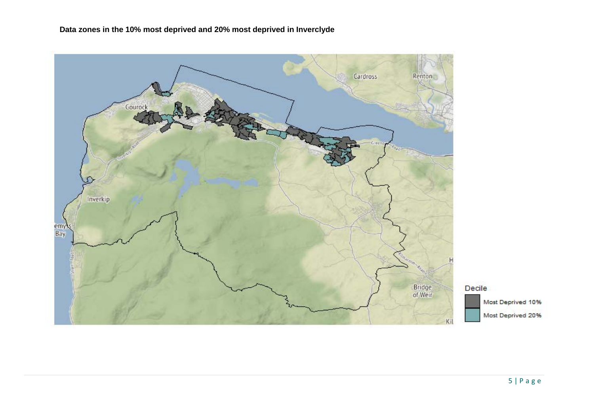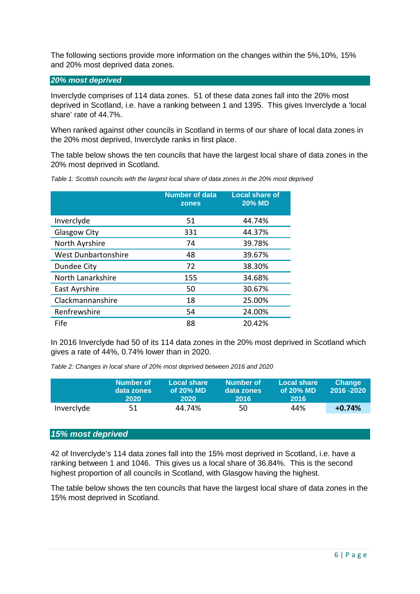The following sections provide more information on the changes within the 5%,10%, 15% and 20% most deprived data zones.

#### *20% most deprived*

Inverclyde comprises of 114 data zones. 51 of these data zones fall into the 20% most deprived in Scotland, i.e. have a ranking between 1 and 1395. This gives Inverclyde a 'local share' rate of 44.7%.

When ranked against other councils in Scotland in terms of our share of local data zones in the 20% most deprived, Inverclyde ranks in first place.

The table below shows the ten councils that have the largest local share of data zones in the 20% most deprived in Scotland.

|                            | <b>Number of data</b><br>zones | <b>Local share of</b><br><b>20% MD</b> |
|----------------------------|--------------------------------|----------------------------------------|
| Inverclyde                 | 51                             | 44.74%                                 |
| Glasgow City               | 331                            | 44.37%                                 |
| North Ayrshire             | 74                             | 39.78%                                 |
| <b>West Dunbartonshire</b> | 48                             | 39.67%                                 |
| Dundee City                | 72                             | 38.30%                                 |
| North Lanarkshire          | 155                            | 34.68%                                 |
| East Ayrshire              | 50                             | 30.67%                                 |
| Clackmannanshire           | 18                             | 25.00%                                 |
| Renfrewshire               | 54                             | 24.00%                                 |
| Fife                       | 88                             | 20.42%                                 |

*Table 1: Scottish councils with the largest local share of data zones in the 20% most deprived*

In 2016 Inverclyde had 50 of its 114 data zones in the 20% most deprived in Scotland which gives a rate of 44%, 0.74% lower than in 2020.

*Table 2: Changes in local share of 20% most deprived between 2016 and 2020* 

|            | Number of<br>data zones<br>2020 | Local share<br>of $20\%$ MD<br>2020 | Number of<br>data zones<br>2016 | <b>Local share</b><br>of $20\%$ MD<br>2016 | <b>Change</b><br>2016 - 2020 |
|------------|---------------------------------|-------------------------------------|---------------------------------|--------------------------------------------|------------------------------|
| Inverclyde | 51                              | 44.74%                              | -50.                            | 44%                                        | $+0.74%$                     |

### *15% most deprived*

42 of Inverclyde's 114 data zones fall into the 15% most deprived in Scotland, i.e. have a ranking between 1 and 1046. This gives us a local share of 36.84%. This is the second highest proportion of all councils in Scotland, with Glasgow having the highest.

The table below shows the ten councils that have the largest local share of data zones in the 15% most deprived in Scotland.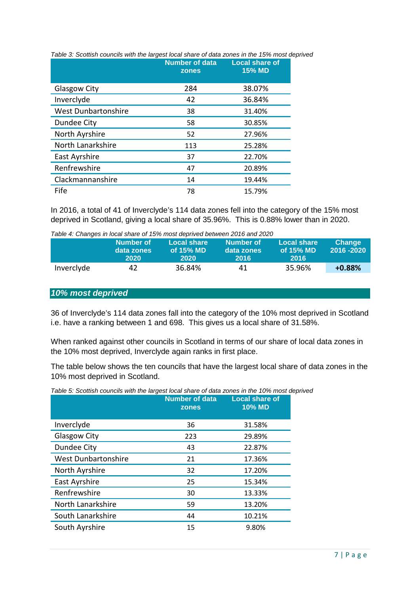|                            | <b>Number of data</b><br>zones | <b>Local share of</b><br><b>15% MD</b> |
|----------------------------|--------------------------------|----------------------------------------|
| <b>Glasgow City</b>        | 284                            | 38.07%                                 |
| Inverclyde                 | 42                             | 36.84%                                 |
| <b>West Dunbartonshire</b> | 38                             | 31.40%                                 |
| Dundee City                | 58                             | 30.85%                                 |
| North Ayrshire             | 52                             | 27.96%                                 |
| North Lanarkshire          | 113                            | 25.28%                                 |
| East Ayrshire              | 37                             | 22.70%                                 |
| Renfrewshire               | 47                             | 20.89%                                 |
| Clackmannanshire           | 14                             | 19.44%                                 |
| Fife                       | 78                             | 15.79%                                 |

*Table 3: Scottish councils with the largest local share of data zones in the 15% most deprived*

In 2016, a total of 41 of Inverclyde's 114 data zones fell into the category of the 15% most deprived in Scotland, giving a local share of 35.96%. This is 0.88% lower than in 2020.

*Table 4: Changes in local share of 15% most deprived between 2016 and 2020* 

|            | Number of<br>data zones<br>2020 | Local share<br>of $15%$ MD<br>2020 | Number of<br>data zones<br><b>2016</b> | <b>Local share</b><br>of 15% MD<br>-2016 | <b>Change</b><br>2016 - 2020 |
|------------|---------------------------------|------------------------------------|----------------------------------------|------------------------------------------|------------------------------|
|            |                                 |                                    |                                        |                                          |                              |
| Inverclyde | 47                              | 36.84%                             | 41                                     | 35.96%                                   | $+0.88%$                     |

#### *10% most deprived*

36 of Inverclyde's 114 data zones fall into the category of the 10% most deprived in Scotland i.e. have a ranking between 1 and 698. This gives us a local share of 31.58%.

When ranked against other councils in Scotland in terms of our share of local data zones in the 10% most deprived, Inverclyde again ranks in first place.

The table below shows the ten councils that have the largest local share of data zones in the 10% most deprived in Scotland.

|  |  | Table 5: Scottish councils with the largest local share of data zones in the 10% most deprived |
|--|--|------------------------------------------------------------------------------------------------|
|  |  |                                                                                                |

|                            | <b>Number of data</b><br>zones | <b>Local share of</b><br><b>10% MD</b> |
|----------------------------|--------------------------------|----------------------------------------|
| Inverclyde                 | 36                             | 31.58%                                 |
| <b>Glasgow City</b>        | 223                            | 29.89%                                 |
| Dundee City                | 43                             | 22.87%                                 |
| <b>West Dunbartonshire</b> | 21                             | 17.36%                                 |
| North Ayrshire             | 32                             | 17.20%                                 |
| East Ayrshire              | 25                             | 15.34%                                 |
| Renfrewshire               | 30                             | 13.33%                                 |
| North Lanarkshire          | 59                             | 13.20%                                 |
| South Lanarkshire          | 44                             | 10.21%                                 |
| South Ayrshire             | 15                             | 9.80%                                  |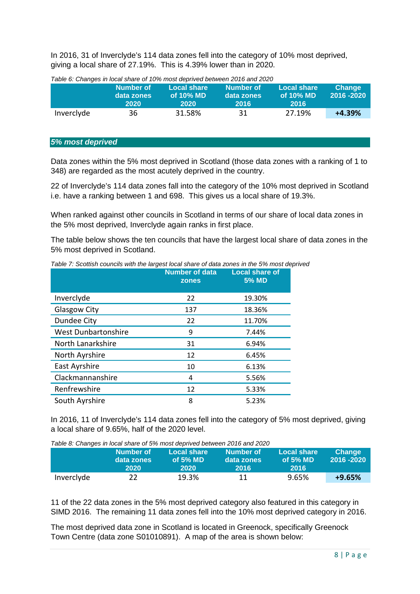In 2016, 31 of Inverclyde's 114 data zones fell into the category of 10% most deprived, giving a local share of 27.19%. This is 4.39% lower than in 2020.

|            | Number of<br>data zones<br>2020 | Local share<br>of $10\%$ MD<br>2020 | Number of<br>data zones<br>-2016 | <b>Local share</b><br>of 10% MD<br><b>2016</b> | <b>Change</b><br>2016 - 2020 |
|------------|---------------------------------|-------------------------------------|----------------------------------|------------------------------------------------|------------------------------|
| Inverclyde | 36                              | 31.58%                              | 31                               | 27.19%                                         | $+4.39%$                     |

*Table 6: Changes in local share of 10% most deprived between 2016 and 2020* 

#### *5% most deprived*

Data zones within the 5% most deprived in Scotland (those data zones with a ranking of 1 to 348) are regarded as the most acutely deprived in the country.

22 of Inverclyde's 114 data zones fall into the category of the 10% most deprived in Scotland i.e. have a ranking between 1 and 698. This gives us a local share of 19.3%.

When ranked against other councils in Scotland in terms of our share of local data zones in the 5% most deprived, Inverclyde again ranks in first place.

The table below shows the ten councils that have the largest local share of data zones in the 5% most deprived in Scotland.

|                            | <b>Number of data</b><br>zones | <b>Local share of</b><br><b>5% MD</b> |
|----------------------------|--------------------------------|---------------------------------------|
| Inverclyde                 | 22                             | 19.30%                                |
| Glasgow City               | 137                            | 18.36%                                |
| Dundee City                | 22                             | 11.70%                                |
| <b>West Dunbartonshire</b> | 9                              | 7.44%                                 |
| North Lanarkshire          | 31                             | 6.94%                                 |
| North Ayrshire             | 12                             | 6.45%                                 |
| East Ayrshire              | 10                             | 6.13%                                 |
| Clackmannanshire           | 4                              | 5.56%                                 |
| Renfrewshire               | 12                             | 5.33%                                 |
| South Ayrshire             | 8                              | 5.23%                                 |

*Table 7: Scottish councils with the largest local share of data zones in the 5% most deprived* 

In 2016, 11 of Inverclyde's 114 data zones fell into the category of 5% most deprived, giving a local share of 9.65%, half of the 2020 level.

|            | rable 6. Gridriges in local stidle of 3% most deprived between 2010 and 2020<br>Number of<br>data zones<br>2020 | Local share<br>of $5%$ MD<br>2020 | Number of<br>data zones<br>2016 | <b>Local share</b><br>of $5%$ MD<br><b>2016</b> | <b>Change</b><br>2016 - 2020 |
|------------|-----------------------------------------------------------------------------------------------------------------|-----------------------------------|---------------------------------|-------------------------------------------------|------------------------------|
| Inverclyde | 22.                                                                                                             | 19.3%                             | 11                              | 9.65%                                           | $+9.65%$                     |

*Table 8: Changes in local share of 5% most deprived between 2016 and 2020* 

11 of the 22 data zones in the 5% most deprived category also featured in this category in SIMD 2016. The remaining 11 data zones fell into the 10% most deprived category in 2016.

The most deprived data zone in Scotland is located in Greenock, specifically Greenock Town Centre (data zone S01010891). A map of the area is shown below: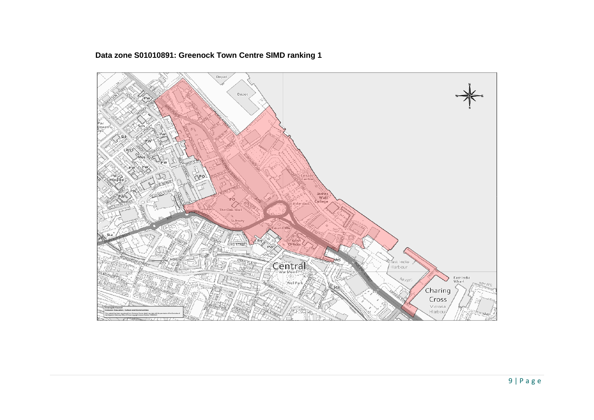

# **Data zone S01010891: Greenock Town Centre SIMD ranking 1**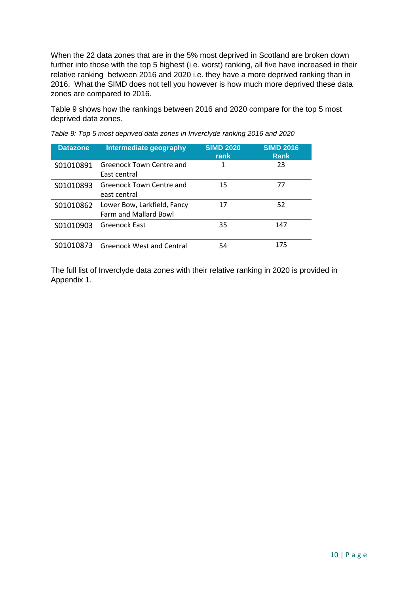When the 22 data zones that are in the 5% most deprived in Scotland are broken down further into those with the top 5 highest (i.e. worst) ranking, all five have increased in their relative ranking between 2016 and 2020 i.e. they have a more deprived ranking than in 2016. What the SIMD does not tell you however is how much more deprived these data zones are compared to 2016.

Table 9 shows how the rankings between 2016 and 2020 compare for the top 5 most deprived data zones.

| <b>Datazone</b> | Intermediate geography                               | <b>SIMD 2020</b><br>rank | <b>SIMD 2016</b><br><b>Rank</b> |
|-----------------|------------------------------------------------------|--------------------------|---------------------------------|
| S01010891       | Greenock Town Centre and<br>East central             |                          | 23                              |
| S01010893       | Greenock Town Centre and<br>east central             | 15                       | 77                              |
| S01010862       | Lower Bow, Larkfield, Fancy<br>Farm and Mallard Bowl | 17                       | 52                              |
| S01010903       | Greenock East                                        | 35                       | 147                             |
| S01010873       | <b>Greenock West and Central</b>                     | 54                       | 175                             |

*Table 9: Top 5 most deprived data zones in Inverclyde ranking 2016 and 2020*

The full list of Inverclyde data zones with their relative ranking in 2020 is provided in Appendix 1.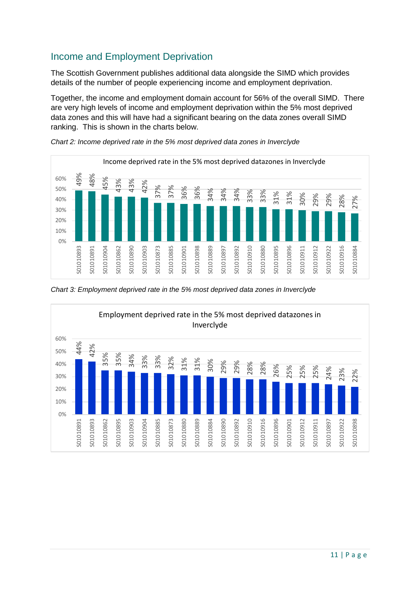# Income and Employment Deprivation

The Scottish Government publishes additional data alongside the SIMD which provides details of the number of people experiencing income and employment deprivation.

Together, the income and employment domain account for 56% of the overall SIMD. There are very high levels of income and employment deprivation within the 5% most deprived data zones and this will have had a significant bearing on the data zones overall SIMD ranking. This is shown in the charts below.



*Chart 2: Income deprived rate in the 5% most deprived data zones in Inverclyde*



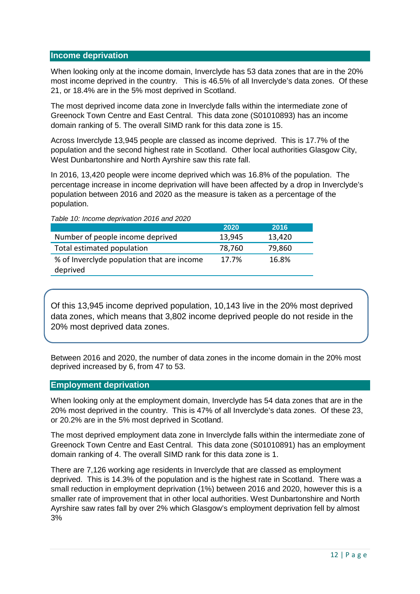#### **Income deprivation**

When looking only at the income domain, Inverclyde has 53 data zones that are in the 20% most income deprived in the country. This is 46.5% of all Inverclyde's data zones. Of these 21, or 18.4% are in the 5% most deprived in Scotland.

The most deprived income data zone in Inverclyde falls within the intermediate zone of Greenock Town Centre and East Central. This data zone (S01010893) has an income domain ranking of 5. The overall SIMD rank for this data zone is 15.

Across Inverclyde 13,945 people are classed as income deprived. This is 17.7% of the population and the second highest rate in Scotland. Other local authorities Glasgow City, West Dunbartonshire and North Ayrshire saw this rate fall.

In 2016, 13,420 people were income deprived which was 16.8% of the population. The percentage increase in income deprivation will have been affected by a drop in Inverclyde's population between 2016 and 2020 as the measure is taken as a percentage of the population.

|                                            | 2020   | 2016   |
|--------------------------------------------|--------|--------|
| Number of people income deprived           | 13,945 | 13,420 |
| Total estimated population                 | 78,760 | 79,860 |
| % of Inverclyde population that are income | 17.7%  | 16.8%  |
| deprived                                   |        |        |

*Table 10: Income deprivation 2016 and 2020*

Of this 13,945 income deprived population, 10,143 live in the 20% most deprived data zones, which means that 3,802 income deprived people do not reside in the 20% most deprived data zones.

Between 2016 and 2020, the number of data zones in the income domain in the 20% most deprived increased by 6, from 47 to 53.

#### **Employment deprivation**

When looking only at the employment domain, Inverclyde has 54 data zones that are in the 20% most deprived in the country. This is 47% of all Inverclyde's data zones. Of these 23, or 20.2% are in the 5% most deprived in Scotland.

The most deprived employment data zone in Inverclyde falls within the intermediate zone of Greenock Town Centre and East Central. This data zone (S01010891) has an employment domain ranking of 4. The overall SIMD rank for this data zone is 1.

There are 7,126 working age residents in Inverclyde that are classed as employment deprived. This is 14.3% of the population and is the highest rate in Scotland. There was a small reduction in employment deprivation (1%) between 2016 and 2020, however this is a smaller rate of improvement that in other local authorities. West Dunbartonshire and North Ayrshire saw rates fall by over 2% which Glasgow's employment deprivation fell by almost 3%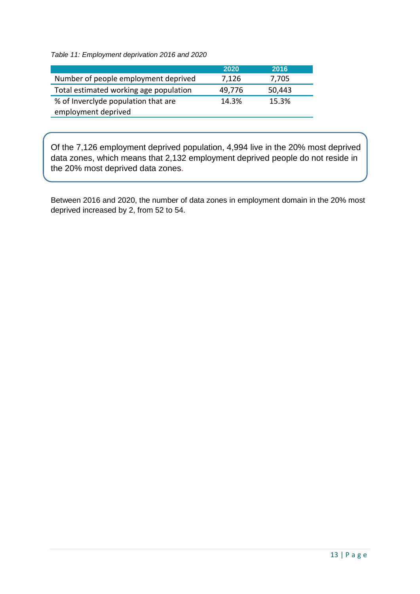*Table 11: Employment deprivation 2016 and 2020* 

|                                                            | 2020   | 2016   |
|------------------------------------------------------------|--------|--------|
| Number of people employment deprived                       | 7,126  | 7,705  |
| Total estimated working age population                     | 49,776 | 50,443 |
| % of Inverclyde population that are<br>employment deprived | 14.3%  | 15.3%  |

Of the 7,126 employment deprived population, 4,994 live in the 20% most deprived data zones, which means that 2,132 employment deprived people do not reside in the 20% most deprived data zones.

Between 2016 and 2020, the number of data zones in employment domain in the 20% most deprived increased by 2, from 52 to 54.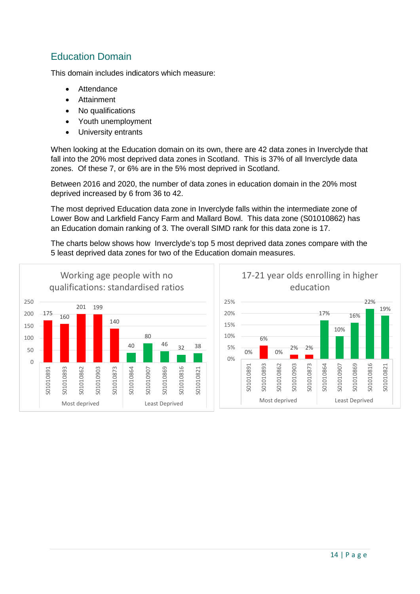# Education Domain

This domain includes indicators which measure:

- **Attendance**
- Attainment
- No qualifications
- Youth unemployment
- University entrants

When looking at the Education domain on its own, there are 42 data zones in Inverclyde that fall into the 20% most deprived data zones in Scotland. This is 37% of all Inverclyde data zones. Of these 7, or 6% are in the 5% most deprived in Scotland.

Between 2016 and 2020, the number of data zones in education domain in the 20% most deprived increased by 6 from 36 to 42.

The most deprived Education data zone in Inverclyde falls within the intermediate zone of Lower Bow and Larkfield Fancy Farm and Mallard Bowl. This data zone (S01010862) has an Education domain ranking of 3. The overall SIMD rank for this data zone is 17.

The charts below shows how Inverclyde's top 5 most deprived data zones compare with the 5 least deprived data zones for two of the Education domain measures.

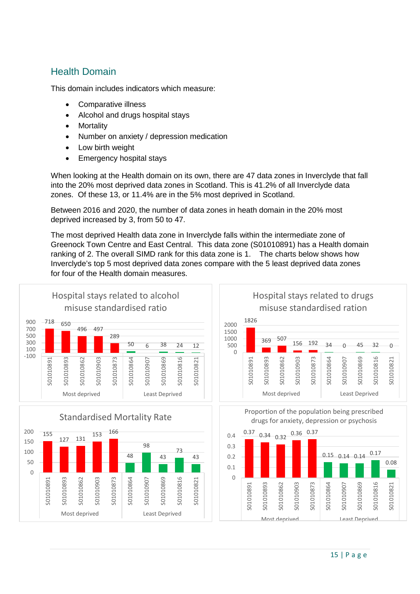# Health Domain

This domain includes indicators which measure:

- Comparative illness
- Alcohol and drugs hospital stays
- Mortality
- Number on anxiety / depression medication
- Low birth weight
- Emergency hospital stays

When looking at the Health domain on its own, there are 47 data zones in Inverclyde that fall into the 20% most deprived data zones in Scotland. This is 41.2% of all Inverclyde data zones. Of these 13, or 11.4% are in the 5% most deprived in Scotland.

Between 2016 and 2020, the number of data zones in heath domain in the 20% most deprived increased by 3, from 50 to 47.

The most deprived Health data zone in Inverclyde falls within the intermediate zone of Greenock Town Centre and East Central. This data zone (S01010891) has a Health domain ranking of 2. The overall SIMD rank for this data zone is 1. The charts below shows how Inverclyde's top 5 most deprived data zones compare with the 5 least deprived data zones for four of the Health domain measures.

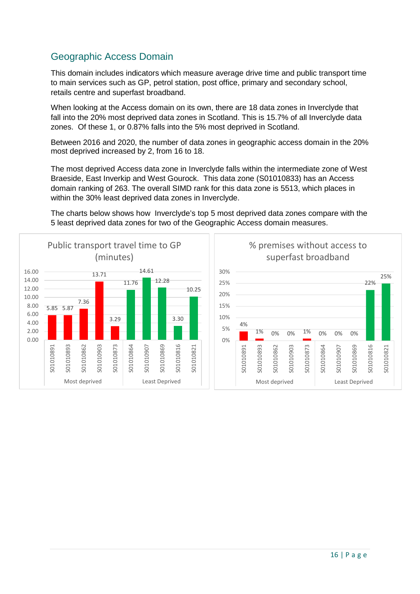# Geographic Access Domain

This domain includes indicators which measure average drive time and public transport time to main services such as GP, petrol station, post office, primary and secondary school, retails centre and superfast broadband.

When looking at the Access domain on its own, there are 18 data zones in Inverclyde that fall into the 20% most deprived data zones in Scotland. This is 15.7% of all Inverclyde data zones. Of these 1, or 0.87% falls into the 5% most deprived in Scotland.

Between 2016 and 2020, the number of data zones in geographic access domain in the 20% most deprived increased by 2, from 16 to 18.

The most deprived Access data zone in Inverclyde falls within the intermediate zone of West Braeside, East Inverkip and West Gourock. This data zone (S01010833) has an Access domain ranking of 263. The overall SIMD rank for this data zone is 5513, which places in within the 30% least deprived data zones in Inverclyde.

The charts below shows how Inverclyde's top 5 most deprived data zones compare with the 5 least deprived data zones for two of the Geographic Access domain measures.



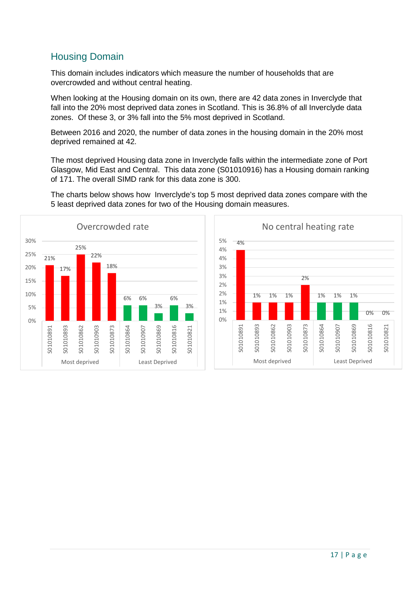# Housing Domain

This domain includes indicators which measure the number of households that are overcrowded and without central heating.

When looking at the Housing domain on its own, there are 42 data zones in Inverclyde that fall into the 20% most deprived data zones in Scotland. This is 36.8% of all Inverclyde data zones. Of these 3, or 3% fall into the 5% most deprived in Scotland.

Between 2016 and 2020, the number of data zones in the housing domain in the 20% most deprived remained at 42.

The most deprived Housing data zone in Inverclyde falls within the intermediate zone of Port Glasgow, Mid East and Central. This data zone (S01010916) has a Housing domain ranking of 171. The overall SIMD rank for this data zone is 300.



The charts below shows how Inverclyde's top 5 most deprived data zones compare with the 5 least deprived data zones for two of the Housing domain measures.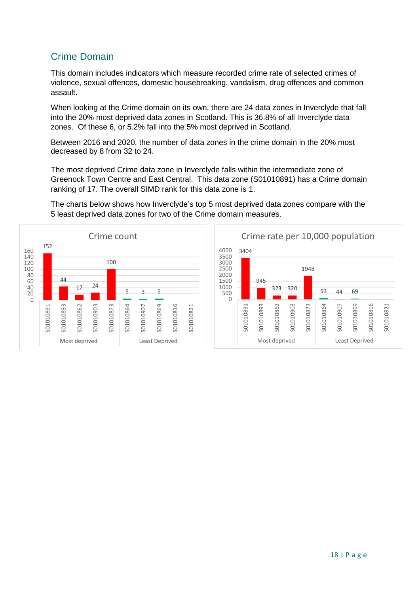# Crime Domain

This domain includes indicators which measure recorded crime rate of selected crimes of violence, sexual offences, domestic housebreaking, vandalism, drug offences and common assault.

When looking at the Crime domain on its own, there are 24 data zones in Inverclyde that fall into the 20% most deprived data zones in Scotland. This is 36.8% of all Inverclyde data zones. Of these 6, or 5.2% fall into the 5% most deprived in Scotland.

Between 2016 and 2020, the number of data zones in the crime domain in the 20% most decreased by 8 from 32 to 24.

The most deprived Crime data zone in Inverclyde falls within the intermediate zone of Greenock Town Centre and East Central. This data zone (S01010891) has a Crime domain ranking of 17. The overall SIMD rank for this data zone is 1.

The charts below shows how Inverclyde's top 5 most deprived data zones compare with the 5 least deprived data zones for two of the Crime domain measures.



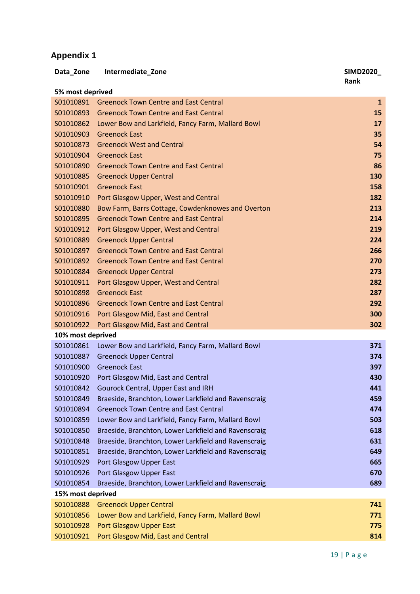# **Appendix 1**

| Data_Zone         | Intermediate_Zone                                    | <b>SIMD2020_</b> |
|-------------------|------------------------------------------------------|------------------|
|                   |                                                      | Rank             |
| 5% most deprived  |                                                      |                  |
| S01010891         | <b>Greenock Town Centre and East Central</b>         | $\mathbf{1}$     |
| S01010893         | <b>Greenock Town Centre and East Central</b>         | 15               |
| S01010862         | Lower Bow and Larkfield, Fancy Farm, Mallard Bowl    | 17               |
| S01010903         | <b>Greenock East</b>                                 | 35               |
| S01010873         | <b>Greenock West and Central</b>                     | 54               |
| S01010904         | <b>Greenock East</b>                                 | 75               |
| S01010890         | <b>Greenock Town Centre and East Central</b>         | 86               |
| S01010885         | <b>Greenock Upper Central</b>                        | 130              |
| S01010901         | <b>Greenock East</b>                                 | 158              |
| S01010910         | Port Glasgow Upper, West and Central                 | 182              |
| S01010880         | Bow Farm, Barrs Cottage, Cowdenknowes and Overton    | 213              |
| S01010895         | <b>Greenock Town Centre and East Central</b>         | 214              |
| S01010912         | Port Glasgow Upper, West and Central                 | 219              |
| S01010889         | <b>Greenock Upper Central</b>                        | 224              |
| S01010897         | <b>Greenock Town Centre and East Central</b>         | 266              |
| S01010892         | <b>Greenock Town Centre and East Central</b>         | 270              |
| S01010884         | <b>Greenock Upper Central</b>                        | 273              |
| S01010911         | Port Glasgow Upper, West and Central                 | 282              |
| S01010898         | <b>Greenock East</b>                                 | 287              |
| S01010896         | <b>Greenock Town Centre and East Central</b>         | 292              |
| S01010916         | Port Glasgow Mid, East and Central                   | 300              |
| S01010922         | Port Glasgow Mid, East and Central                   | 302              |
| 10% most deprived |                                                      |                  |
| S01010861         | Lower Bow and Larkfield, Fancy Farm, Mallard Bowl    | 371              |
| S01010887         | <b>Greenock Upper Central</b>                        | 374              |
| S01010900         | <b>Greenock East</b>                                 | 397              |
| S01010920         | Port Glasgow Mid, East and Central                   | 430              |
| S01010842         | Gourock Central, Upper East and IRH                  | 441              |
| S01010849         | Braeside, Branchton, Lower Larkfield and Ravenscraig | 459              |
| S01010894         | <b>Greenock Town Centre and East Central</b>         | 474              |
| S01010859         | Lower Bow and Larkfield, Fancy Farm, Mallard Bowl    | 503              |
| S01010850         | Braeside, Branchton, Lower Larkfield and Ravenscraig | 618              |
| S01010848         | Braeside, Branchton, Lower Larkfield and Ravenscraig | 631              |
| S01010851         | Braeside, Branchton, Lower Larkfield and Ravenscraig | 649              |
| S01010929         | Port Glasgow Upper East                              | 665              |
| S01010926         | Port Glasgow Upper East                              | 670              |
| S01010854         | Braeside, Branchton, Lower Larkfield and Ravenscraig | 689              |
| 15% most deprived |                                                      |                  |
| S01010888         | <b>Greenock Upper Central</b>                        | 741              |
| S01010856         | Lower Bow and Larkfield, Fancy Farm, Mallard Bowl    | 771              |
| S01010928         | Port Glasgow Upper East                              | 775              |
| S01010921         | Port Glasgow Mid, East and Central                   | 814              |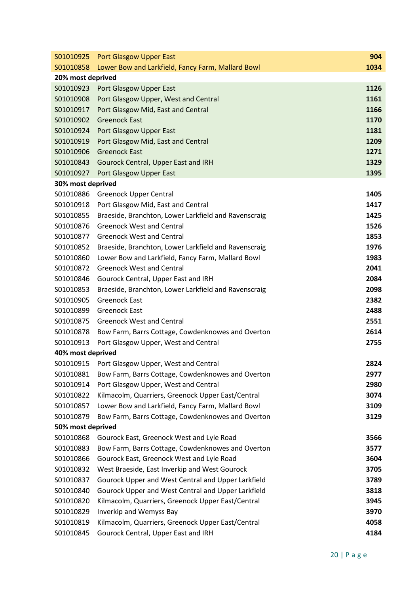| S01010925         | <b>Port Glasgow Upper East</b>                       | 904  |
|-------------------|------------------------------------------------------|------|
| S01010858         | Lower Bow and Larkfield, Fancy Farm, Mallard Bowl    | 1034 |
| 20% most deprived |                                                      |      |
| S01010923         | Port Glasgow Upper East                              | 1126 |
| S01010908         | Port Glasgow Upper, West and Central                 | 1161 |
| S01010917         | Port Glasgow Mid, East and Central                   | 1166 |
| S01010902         | <b>Greenock East</b>                                 | 1170 |
| S01010924         | Port Glasgow Upper East                              | 1181 |
| S01010919         | Port Glasgow Mid, East and Central                   | 1209 |
| S01010906         | <b>Greenock East</b>                                 | 1271 |
| S01010843         | Gourock Central, Upper East and IRH                  | 1329 |
| S01010927         | Port Glasgow Upper East                              | 1395 |
| 30% most deprived |                                                      |      |
| S01010886         | <b>Greenock Upper Central</b>                        | 1405 |
| S01010918         | Port Glasgow Mid, East and Central                   | 1417 |
| S01010855         | Braeside, Branchton, Lower Larkfield and Ravenscraig | 1425 |
| S01010876         | <b>Greenock West and Central</b>                     | 1526 |
| S01010877         | <b>Greenock West and Central</b>                     | 1853 |
| S01010852         | Braeside, Branchton, Lower Larkfield and Ravenscraig | 1976 |
| S01010860         | Lower Bow and Larkfield, Fancy Farm, Mallard Bowl    | 1983 |
| S01010872         | <b>Greenock West and Central</b>                     | 2041 |
| S01010846         | Gourock Central, Upper East and IRH                  | 2084 |
| S01010853         | Braeside, Branchton, Lower Larkfield and Ravenscraig | 2098 |
| S01010905         | <b>Greenock East</b>                                 | 2382 |
| S01010899         | <b>Greenock East</b>                                 | 2488 |
| S01010875         | <b>Greenock West and Central</b>                     | 2551 |
| S01010878         | Bow Farm, Barrs Cottage, Cowdenknowes and Overton    | 2614 |
| S01010913         | Port Glasgow Upper, West and Central                 | 2755 |
| 40% most deprived |                                                      |      |
| S01010915         | Port Glasgow Upper, West and Central                 | 2824 |
| S01010881         | Bow Farm, Barrs Cottage, Cowdenknowes and Overton    | 2977 |
| S01010914         | Port Glasgow Upper, West and Central                 | 2980 |
| S01010822         | Kilmacolm, Quarriers, Greenock Upper East/Central    | 3074 |
| S01010857         | Lower Bow and Larkfield, Fancy Farm, Mallard Bowl    | 3109 |
| S01010879         | Bow Farm, Barrs Cottage, Cowdenknowes and Overton    | 3129 |
| 50% most deprived |                                                      |      |
| S01010868         | Gourock East, Greenock West and Lyle Road            | 3566 |
| S01010883         | Bow Farm, Barrs Cottage, Cowdenknowes and Overton    | 3577 |
| S01010866         | Gourock East, Greenock West and Lyle Road            | 3604 |
| S01010832         | West Braeside, East Inverkip and West Gourock        | 3705 |
| S01010837         | Gourock Upper and West Central and Upper Larkfield   | 3789 |
| S01010840         | Gourock Upper and West Central and Upper Larkfield   | 3818 |
| S01010820         | Kilmacolm, Quarriers, Greenock Upper East/Central    | 3945 |
| S01010829         | Inverkip and Wemyss Bay                              | 3970 |
| S01010819         | Kilmacolm, Quarriers, Greenock Upper East/Central    | 4058 |
| S01010845         | Gourock Central, Upper East and IRH                  | 4184 |